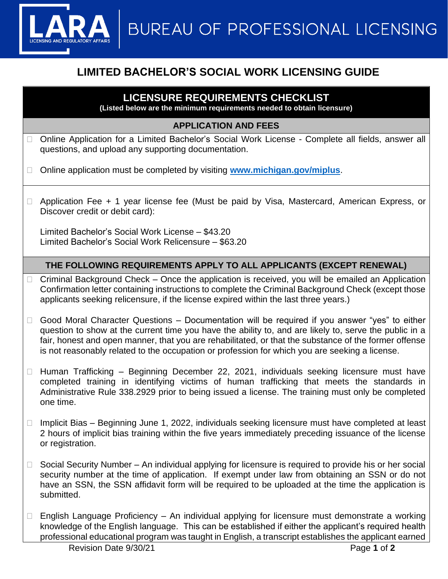

## **LIMITED BACHELOR'S SOCIAL WORK LICENSING GUIDE**

## **LICENSURE REQUIREMENTS CHECKLIST**

**(Listed below are the minimum requirements needed to obtain licensure)**

#### **APPLICATION AND FEES**

- □ Online Application for a Limited Bachelor's Social Work License Complete all fields, answer all questions, and upload any supporting documentation.
- □ Online application must be completed by visiting **[www.michigan.gov/miplus](http://www.michigan.gov/miplus)**.
- □ Application Fee + 1 year license fee (Must be paid by Visa, Mastercard, American Express, or Discover credit or debit card):

Limited Bachelor's Social Work License – \$43.20 Limited Bachelor's Social Work Relicensure – \$63.20

### **THE FOLLOWING REQUIREMENTS APPLY TO ALL APPLICANTS (EXCEPT RENEWAL)**

- Criminal Background Check Once the application is received, you will be emailed an Application Confirmation letter containing instructions to complete the Criminal Background Check (except those applicants seeking relicensure, if the license expired within the last three years.)
- Good Moral Character Questions Documentation will be required if you answer "yes" to either question to show at the current time you have the ability to, and are likely to, serve the public in a fair, honest and open manner, that you are rehabilitated, or that the substance of the former offense is not reasonably related to the occupation or profession for which you are seeking a license.
- $\Box$  Human Trafficking Beginning December 22, 2021, individuals seeking licensure must have completed training in identifying victims of human trafficking that meets the standards in Administrative Rule 338.2929 prior to being issued a license. The training must only be completed one time.
- $\Box$  Implicit Bias Beginning June 1, 2022, individuals seeking licensure must have completed at least 2 hours of implicit bias training within the five years immediately preceding issuance of the license or registration.
- $\Box$  Social Security Number An individual applying for licensure is required to provide his or her social security number at the time of application. If exempt under law from obtaining an SSN or do not have an SSN, the SSN affidavit form will be required to be uploaded at the time the application is submitted.
- $\Box$  English Language Proficiency An individual applying for licensure must demonstrate a working knowledge of the English language. This can be established if either the applicant's required health professional educational program was taught in English, a transcript establishes the applicant earned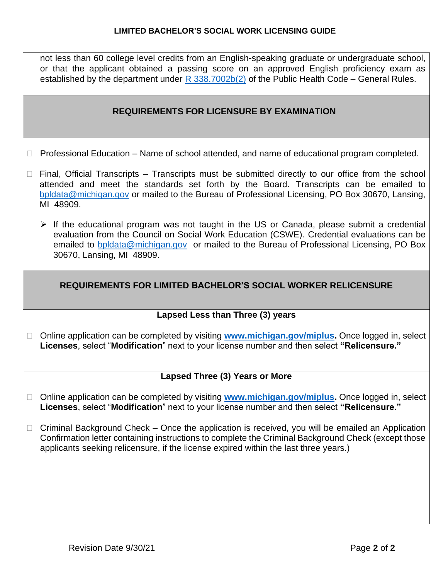not less than 60 college level credits from an English-speaking graduate or undergraduate school, or that the applicant obtained a passing score on an approved English proficiency exam as established by the department under  $R$  338.7002b(2) of the Public Health Code – General Rules.

#### **REQUIREMENTS FOR LICENSURE BY EXAMINATION**

- $\Box$  Professional Education Name of school attended, and name of educational program completed.
- $\Box$  Final, Official Transcripts Transcripts must be submitted directly to our office from the school attended and meet the standards set forth by the Board. Transcripts can be emailed to [bpldata@michigan.gov](mailto:bpldata@michigan.gov) or mailed to the Bureau of Professional Licensing, PO Box 30670, Lansing, MI 48909.
	- ➢ If the educational program was not taught in the US or Canada, please submit a credential evaluation from the Council on Social Work Education (CSWE). Credential evaluations can be emailed to [bpldata@michigan.gov](mailto:bpldata@michigan.gov) or mailed to the Bureau of Professional Licensing, PO Box 30670, Lansing, MI 48909.

#### **REQUIREMENTS FOR LIMITED BACHELOR'S SOCIAL WORKER RELICENSURE**

#### **Lapsed Less than Three (3) years**

□ Online application can be completed by visiting **[www.michigan.gov/miplus.](http://www.michigan.gov/miplus)** Once logged in, select **Licenses**, select "**Modification**" next to your license number and then select **"Relicensure."** 

#### **Lapsed Three (3) Years or More**

- □ Online application can be completed by visiting **www.michigan.gov/miplus**. Once logged in, select **Licenses**, select "**Modification**" next to your license number and then select **"Relicensure."**
- $\Box$  Criminal Background Check Once the application is received, you will be emailed an Application Confirmation letter containing instructions to complete the Criminal Background Check (except those applicants seeking relicensure, if the license expired within the last three years.)